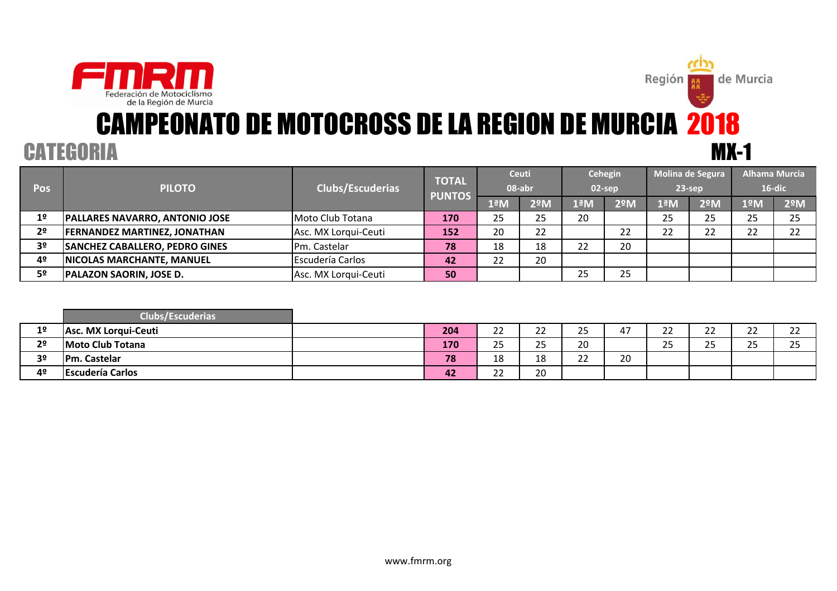

Región **E** 

de Murcia

| <b>Pos</b>     | <b>PILOTO</b>                         | <b>Clubs/Escuderias</b> | <b>TOTAL</b>  |           | <b>Ceuti</b><br>08-abr | 02-sep   | Cehegin       |     | Molina de Segura<br>$23$ -sep | <b>Alhama Murcia</b> | $16$ -dic |
|----------------|---------------------------------------|-------------------------|---------------|-----------|------------------------|----------|---------------|-----|-------------------------------|----------------------|-----------|
|                |                                       |                         | <b>PUNTOS</b> | 1ªM       | $2^{\circ}$ M          | 1ªM      | $2^{\circ}$ M | 1ªM | 2 <sup>°</sup> M              | 1ºM                  | 2ºM       |
| 1 <sup>o</sup> | <b>PALLARES NAVARRO, ANTONIO JOSE</b> | Moto Club Totana        | 170           | 25        | 25                     | 20       |               | 25  | 25                            | 25                   | 25        |
| 2 <sup>o</sup> | <b>FERNANDEZ MARTINEZ, JONATHAN</b>   | Asc. MX Lorgui-Ceuti    | 152           | 20        | 22                     |          | າາ            | າາ  | າາ                            | າາ                   | 22        |
| 3 <sup>o</sup> | <b>SANCHEZ CABALLERO, PEDRO GINES</b> | Pm. Castelar            | 78            | 18        | 18                     | າາ<br>∠∠ | 20            |     |                               |                      |           |
| 4º             | <b>NICOLAS MARCHANTE, MANUEL</b>      | <b>Escudería Carlos</b> | 42            | つつ<br>ے ے | 20                     |          |               |     |                               |                      |           |
| 5º             | <b>PALAZON SAORIN, JOSE D.</b>        | Asc. MX Lorgui-Ceuti    | 50            |           |                        | 25       | 25            |     |                               |                      |           |

|                | <b>Clubs/Escuderias</b> |     |                       |                    |                      |                     |                        |              |                     |                     |
|----------------|-------------------------|-----|-----------------------|--------------------|----------------------|---------------------|------------------------|--------------|---------------------|---------------------|
| 1 <sup>o</sup> | Asc. MX Lorqui-Ceuti    | 204 | $\mathbf{\sim}$<br>__ | $\sim$<br>__       | $\sim$ $\sim$<br>ر ے | $\overline{a}$<br>4 | $\sim$<br><u>_ _ _</u> | $\sim$<br>__ | $\sim$<br><u>__</u> | $\sim$<br><u>__</u> |
| 2 <sup>o</sup> | Moto Club Totana        | 170 | $\sim$ $\sim$<br>ت    | $\sim$ $\sim$<br>ت | 20                   |                     | $\sim$ $\sim$<br>ر ے   | 2F<br>__     | <b>OF</b><br>ت      | <b>DE</b><br>ر ے    |
| 3 <sup>o</sup> | <b>IPm. Castelar</b>    | 78  | <b>10</b><br>⊥໐       | 1 O<br>⊥Ο          | $\sim$<br>__         | 20                  |                        |              |                     |                     |
| 4º             | <b>Escudería Carlos</b> | 42  | $\sim$<br>__          | 20                 |                      |                     |                        |              |                     |                     |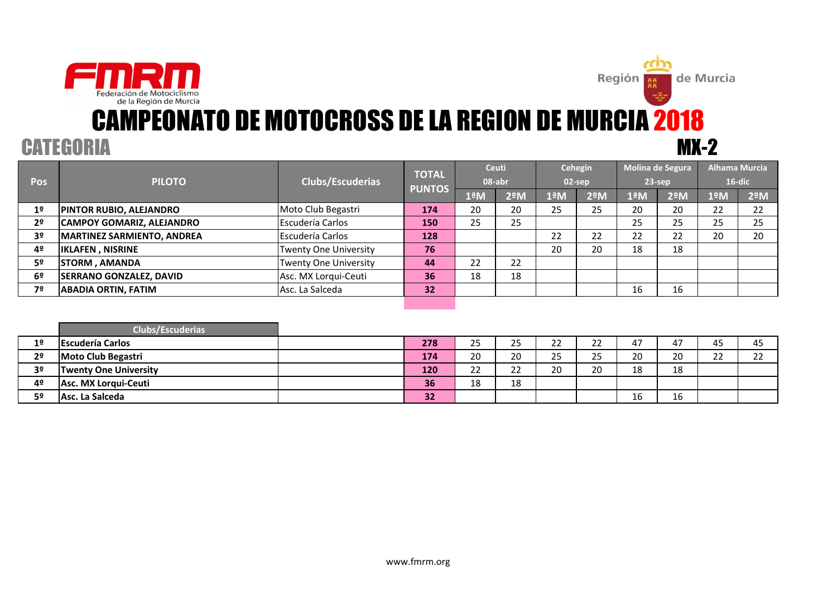



# MX-2 CAMPEONATO DE MOTOCROSS DE LA REGION DE MURCIA 2018

|                |                                  |                              | <b>TOTAL</b>  | <b>Ceuti</b> |               |                       | <b>Cehegin</b> |               | Molina de Segura |     | Alhama Murcia |
|----------------|----------------------------------|------------------------------|---------------|--------------|---------------|-----------------------|----------------|---------------|------------------|-----|---------------|
| <b>Pos</b>     | <b>PILOTO</b>                    | Clubs/Escuderias             |               | 08-abr       |               |                       | $02$ -sep      |               | $23$ -sep        |     | $16$ -dic     |
|                |                                  |                              | <b>PUNTOS</b> | 1ªM          | $2^{\circ}$ M | $1^{\underline{a}}$ M | $2^{\circ}$ M  | $1^{\circ}$ M | $2^{\circ}$ M    | 1ºM | $2^{\circ}$ M |
| 1 <sup>°</sup> | <b>PINTOR RUBIO, ALEJANDRO</b>   | Moto Club Begastri           | 174           | 20           | 20            | 25                    | 25             | 20            | 20               | 22  | 22            |
| 2 <sup>o</sup> | <b>CAMPOY GOMARIZ, ALEJANDRO</b> | Escudería Carlos             | 150           | 25           | 25            |                       |                | 25            | 25               | 25  | 25            |
| 3 <sup>o</sup> | MARTINEZ SARMIENTO, ANDREA       | <b>Escudería Carlos</b>      | 128           |              |               | 22                    | 22             | 22            | 22               | 20  | 20            |
| 4º             | <b>IKLAFEN, NISRINE</b>          | <b>Twenty One University</b> | 76            |              |               | 20                    | 20             | 18            | 18               |     |               |
| 5º             | <b>STORM, AMANDA</b>             | <b>Twenty One University</b> | 44            | 22           | 22            |                       |                |               |                  |     |               |
| 6 <sup>o</sup> | <b>SERRANO GONZALEZ, DAVID</b>   | Asc. MX Lorgui-Ceuti         | 36            | 18           | 18            |                       |                |               |                  |     |               |
| 7º             | <b>ABADIA ORTIN, FATIM</b>       | Asc. La Salceda              | 32            |              |               |                       |                | 16            | 16               |     |               |
|                |                                  |                              |               |              |               |                       |                |               |                  |     |               |

|                | <b>Clubs/Escuderias</b>      |     |                 |                           |                   |                      |                  |    |                     |          |
|----------------|------------------------------|-----|-----------------|---------------------------|-------------------|----------------------|------------------|----|---------------------|----------|
| 1 <sup>°</sup> | <b>Escudería Carlos</b>      | 278 | つに<br>رے        | 25                        | $\mathbf{a}$<br>ے | $\sim$<br><u>_ _</u> | 47               | 47 | 45                  | 45       |
| 2 <sup>o</sup> | <b>Moto Club Begastri</b>    | 174 | 20              | 20                        | ЭE<br>رے          | $\cap$<br>رے         | 20               | 20 | $\sim$<br><u>__</u> | ີ<br>ے ے |
| 3 <sup>o</sup> | <b>Twenty One University</b> | 120 | າາ<br><u>__</u> | $\mathbf{a}$<br><u>__</u> | 20                | 20                   | <b>1 Q</b><br>ᅭᇰ | 18 |                     |          |
| 4º             | Asc. MX Lorqui-Ceuti         | 36  | 18              | 18                        |                   |                      |                  |    |                     |          |
| 50             | Asc. La Salceda              | 32  |                 |                           |                   |                      | 16               | 16 |                     |          |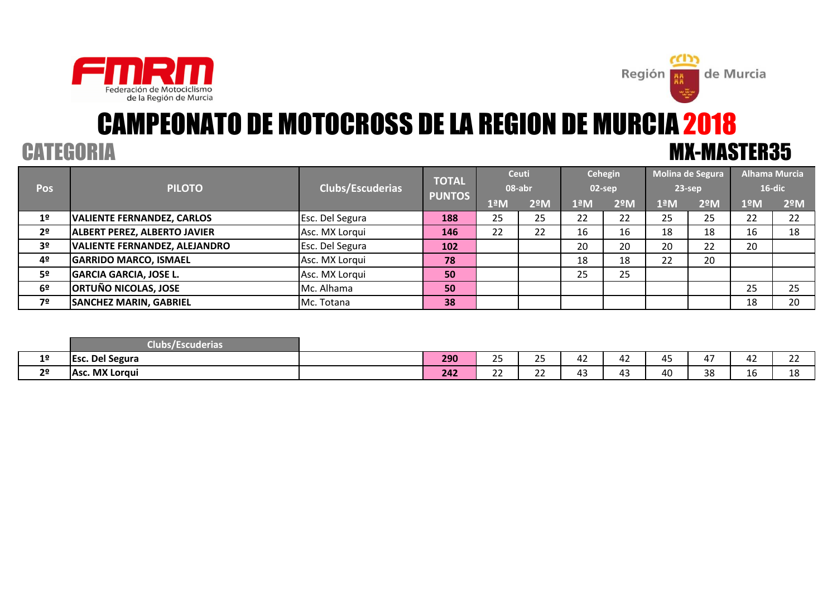



# CAMPEONATO DE MOTOCROSS DE LA REGION DE MURCIA 2018CATEGORIA MX-MASTER35

|                |                                      |                  | <b>TOTAL</b>  |     | <b>Ceuti</b>  |                       | <b>Cehegin</b> |                       | Molina de Segura | <b>Alhama Murcia</b> |           |
|----------------|--------------------------------------|------------------|---------------|-----|---------------|-----------------------|----------------|-----------------------|------------------|----------------------|-----------|
| <b>Pos</b>     | <b>PILOTO</b>                        | Clubs/Escuderias | <b>PUNTOS</b> |     | 08-abr        |                       | 02-sep         |                       | $23$ -sep        |                      | $16$ -dic |
|                |                                      |                  |               | 1ªM | $2^{\circ}$ M | $1^{\underline{a}}$ M | $2^{\circ}$ M  | $1^{\underline{a}}$ M | $2^{\circ}$ M    | 1ºM                  | 2ºM       |
| 1 <sup>o</sup> | <b>VALIENTE FERNANDEZ, CARLOS</b>    | Esc. Del Segura  | 188           | 25  | 25            | 22                    | 22             | 25                    | 25               | 22                   | 22        |
| 2 <sup>o</sup> | <b>ALBERT PEREZ, ALBERTO JAVIER</b>  | Asc. MX Lorqui   | 146           | 22  | 22            | 16                    | 16             | 18                    | 18               | 16                   | 18        |
| 3 <sup>o</sup> | <b>VALIENTE FERNANDEZ, ALEJANDRO</b> | Esc. Del Segura  | 102           |     |               | 20                    | 20             | 20                    | 22               | 20                   |           |
| 4º             | <b>GARRIDO MARCO, ISMAEL</b>         | Asc. MX Lorqui   | 78            |     |               | 18                    | 18             | 22                    | 20               |                      |           |
| 5º             | <b>GARCIA GARCIA, JOSE L.</b>        | Asc. MX Lorqui   | 50            |     |               | 25                    | 25             |                       |                  |                      |           |
| 6º             | <b>ORTUÑO NICOLAS, JOSE</b>          | Mc. Alhama       | 50            |     |               |                       |                |                       |                  | 25                   | 25        |
| 7º             | <b>SANCHEZ MARIN, GABRIEL</b>        | Mc. Totana       | 38            |     |               |                       |                |                       |                  | 18                   | 20        |
|                |                                      |                  |               |     |               |                       |                |                       |                  |                      |           |

|                | ____<br>vescuderias<br>uups |     |              |               |                         |              |                              |                    |                        |             |
|----------------|-----------------------------|-----|--------------|---------------|-------------------------|--------------|------------------------------|--------------------|------------------------|-------------|
| 1 <sup>o</sup> | Del Segura<br><b>IEsc</b>   | 290 | $\sim$ $-$   | つに<br>ر ے     | ——————————————————————— | $\sim$<br>4∠ | $\sim$ $\sim$<br>4.<br>- - - | $\sim$ $\sim$<br>4 | $\overline{a}$<br>44 Z | $\sim$<br>ᅩ |
| 2 <sup>o</sup> | Asc. MX Lorqui              | 242 | $\sim$<br>-- | $\sim$<br>--- | -                       | $\sim$<br>д. | 40                           | 38                 | 16                     | 10<br>ᅟᅩᅌ   |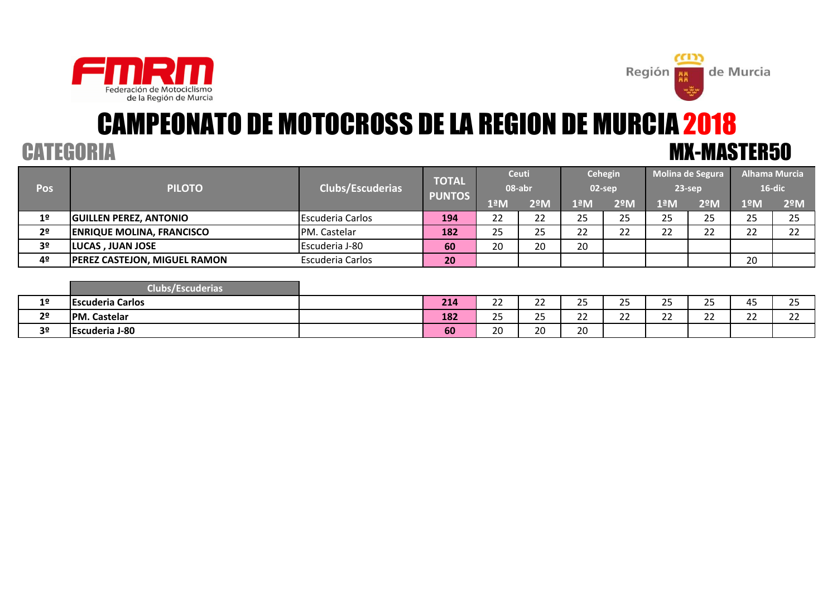



# CAMPEONATO DE MOTOCROSS DE LA REGION DE MURCIA 2018CATEGORIA MX-MASTER50

|                |                                     |                         | <b>TOTAL</b>  | <b>Ceuti</b> |               |          | Cehegin   |           | Molina de Segura |           | <b>Alhama Murcia</b> |
|----------------|-------------------------------------|-------------------------|---------------|--------------|---------------|----------|-----------|-----------|------------------|-----------|----------------------|
| Pos            | <b>PILOTO</b>                       | <b>Clubs/Escuderias</b> | <b>PUNTOS</b> | 08-abr       |               |          | 02-sep    |           | $23$ -sep        |           | 16-dic               |
|                |                                     |                         |               | 1ªM          | $2^{\circ}$ M | 1ªM      | 2ºM       | lªM       | $2^{\circ}$ M    | 1ºM.      | $2^{\circ}$ M        |
| 1 <sup>°</sup> | <b>GUILLEN PEREZ, ANTONIO</b>       | <b>Escuderia Carlos</b> | 194           | つつ<br>LL     | つつ<br>∠∠      | 25       | 25        | 25        | 25               | 25        | 25                   |
| 2 <sup>o</sup> | <b>ENRIQUE MOLINA, FRANCISCO</b>    | PM. Castelar            | 182           | 25           | 25            | າາ<br>∠∠ | າາ<br>ے ے | າາ<br>ے ے | າາ<br>້          | າາ<br>ے ے | วว<br>ے ے            |
| 3 <sup>o</sup> | <b>LUCAS, JUAN JOSE</b>             | Escuderia J-80          | 60            | 20           | 20            | 20       |           |           |                  |           |                      |
| 4º             | <b>PEREZ CASTEJON, MIGUEL RAMON</b> | Escuderia Carlos        | 20            |              |               |          |           |           |                  | 20        |                      |

|                | Clubs<br>Escuderias     |     |                    |                |                      |                     |                  |                            |              |              |
|----------------|-------------------------|-----|--------------------|----------------|----------------------|---------------------|------------------|----------------------------|--------------|--------------|
| 1 <sup>°</sup> | <b>Escuderia Carlos</b> | 214 | $\sim$<br>__       | $\sim$<br>__   | $\sim$ $\sim$<br>ر ے | n m<br>,,<br>ت      | つに<br>رے         | $\sim$ $-$<br>ر ے          | 45           | つに<br>رے     |
| 2 <sup>o</sup> | <b>PM. Castelar</b>     | 182 | $\sim$ $\sim$<br>ت | $\neg$<br>__   | $\sim$<br><u>__</u>  | $\sim$<br><u>__</u> | າາ<br><u>_ _</u> | $\sim$ $\sim$<br><u>__</u> | $\sim$<br>__ | $\sim$<br>∠∠ |
| 3 <sup>o</sup> | <b>Escuderia J-80</b>   | 60  | 20                 | $\Omega$<br>ZU | $\Omega$<br>ZU       |                     |                  |                            |              |              |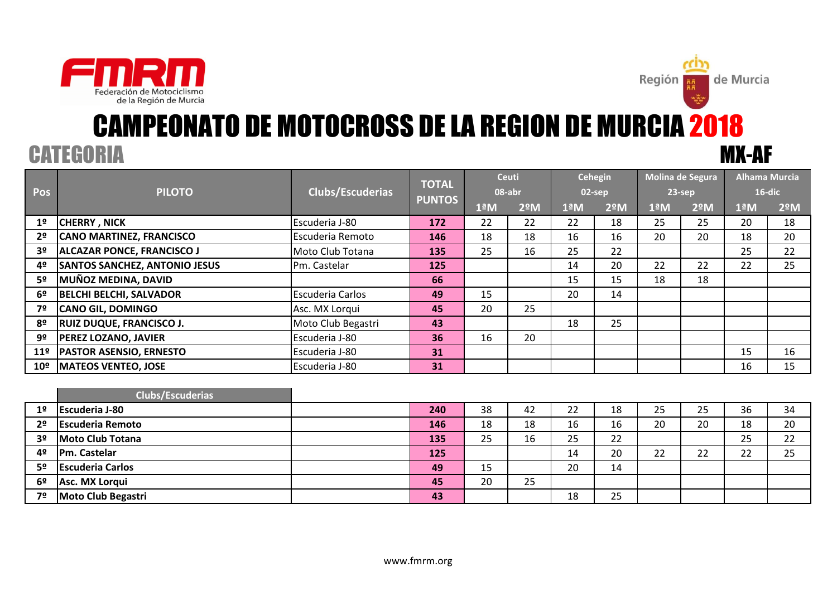



Región **RE** 

de Murcia

|                 |                                      |                         | <b>TOTAL</b>  |                  | <b>Ceuti</b>  |                  | <b>Cehegin</b> | Molina de Segura |               | <b>Alhama Murcia</b> |               |
|-----------------|--------------------------------------|-------------------------|---------------|------------------|---------------|------------------|----------------|------------------|---------------|----------------------|---------------|
| <b>Pos</b>      | <b>PILOTO</b>                        | Clubs/Escuderias        | <b>PUNTOS</b> |                  | 08-abr        |                  | 02-sep         |                  | $23$ -sep     | 16-dic               |               |
|                 |                                      |                         |               | 1 <sup>a</sup> M | $2^{\circ}$ M | 1 <sup>a</sup> M | $2^{\circ}$ M  | 1 <sup>a</sup> M | $2^{\circ}$ M | 1 <sup>a</sup> M     | $2^{\circ}$ M |
| 1 <sup>°</sup>  | <b>CHERRY, NICK</b>                  | Escuderia J-80          | 172           | 22               | 22            | 22               | 18             | 25               | 25            | 20                   | 18            |
| 2 <sup>o</sup>  | <b>CANO MARTINEZ, FRANCISCO</b>      | Escuderia Remoto        | 146           | 18               | 18            | 16               | 16             | 20               | 20            | 18                   | 20            |
| 3 <sup>o</sup>  | <b>ALCAZAR PONCE, FRANCISCO J</b>    | Moto Club Totana        | 135           | 25               | 16            | 25               | 22             |                  |               | 25                   | 22            |
| 4º              | <b>SANTOS SANCHEZ, ANTONIO JESUS</b> | Pm. Castelar            | 125           |                  |               | 14               | 20             | 22               | 22            | 22                   | 25            |
| 5º              | MUÑOZ MEDINA, DAVID                  |                         | 66            |                  |               | 15               | 15             | 18               | 18            |                      |               |
| -62             | <b>BELCHI BELCHI, SALVADOR</b>       | <b>Escuderia Carlos</b> | 49            | 15               |               | 20               | 14             |                  |               |                      |               |
| 7º              | <b>CANO GIL, DOMINGO</b>             | Asc. MX Lorqui          | 45            | 20               | 25            |                  |                |                  |               |                      |               |
| 8º              | <b>RUIZ DUQUE, FRANCISCO J.</b>      | Moto Club Begastri      | 43            |                  |               | 18               | 25             |                  |               |                      |               |
| 9º              | <b>PEREZ LOZANO, JAVIER</b>          | Escuderia J-80          | 36            | 16               | 20            |                  |                |                  |               |                      |               |
| 11 <sup>°</sup> | <b>PASTOR ASENSIO, ERNESTO</b>       | Escuderia J-80          | 31            |                  |               |                  |                |                  |               | 15                   | 16            |
| $10^{\circ}$    | <b>MATEOS VENTEO, JOSE</b>           | Escuderia J-80          | 31            |                  |               |                  |                |                  |               | 16                   | 15            |

|                | Clubs/Escuderias        |     |    |    |    |    |    |    |    |    |
|----------------|-------------------------|-----|----|----|----|----|----|----|----|----|
| 1 <sup>o</sup> | <b>Escuderia J-80</b>   | 240 | 38 | 42 | 22 | 18 | 25 | 25 | 36 | 34 |
| 2 <sup>o</sup> | <b>Escuderia Remoto</b> | 146 | 18 | 18 | 16 | 16 | 20 | 20 | 18 | 20 |
| 3 <sup>o</sup> | Moto Club Totana        | 135 | 25 | 16 | 25 | 22 |    |    | 25 | 22 |
| 4º             | Pm. Castelar            | 125 |    |    | 14 | 20 | 22 | 22 | 22 | 25 |
| 5 <sup>o</sup> | <b>Escuderia Carlos</b> | 49  | 15 |    | 20 | 14 |    |    |    |    |
| 6 <sup>o</sup> | Asc. MX Lorqui          | 45  | 20 | 25 |    |    |    |    |    |    |
| 7º             | Moto Club Begastri      | 43  |    |    | 18 | 25 |    |    |    |    |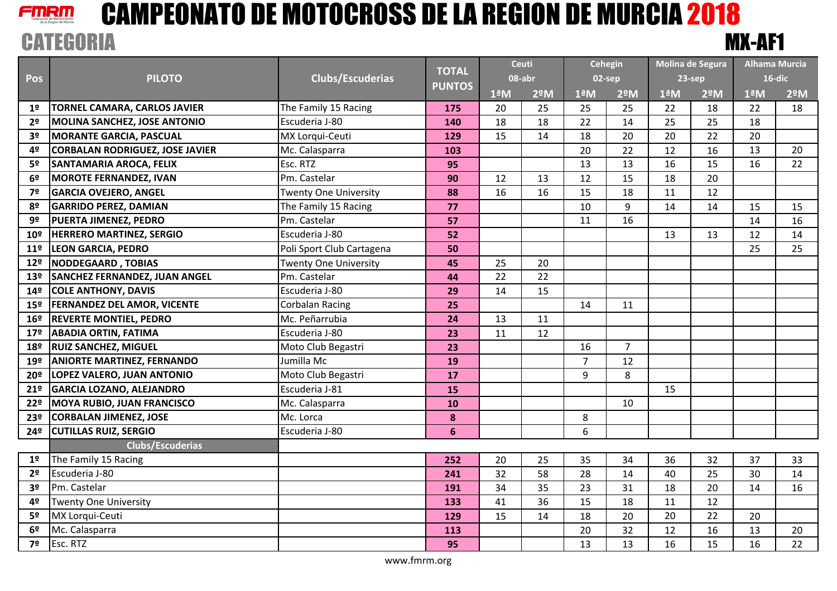

|                 |                                        |                              | <b>TOTAL</b>   |                      | <b>Ceuti</b>  |                       | <b>Cehegin</b> |                      | Molina de Segura |                      | <b>Alhama Murcia</b> |
|-----------------|----------------------------------------|------------------------------|----------------|----------------------|---------------|-----------------------|----------------|----------------------|------------------|----------------------|----------------------|
| Pos             | <b>PILOTO</b>                          | <b>Clubs/Escuderias</b>      |                | 08-abr               |               |                       | 02-sep         | 23-sep               |                  |                      | $16$ -dic            |
|                 |                                        |                              | <b>PUNTOS</b>  | $1^{\underline{a}}M$ | $2^{\circ}$ M | $1^{\underline{a}}$ M | $2^{\circ}$ M  | $1^{\underline{a}}M$ | $2^{\circ}$ M    | $1^{\underline{a}}M$ | $2^{\circ}$ M        |
| 1º              | <b>TORNEL CAMARA, CARLOS JAVIER</b>    | The Family 15 Racing         | 175            | 20                   | 25            | 25                    | 25             | 22                   | 18               | 22                   | 18                   |
| 2 <sup>o</sup>  | <b>MOLINA SANCHEZ, JOSE ANTONIO</b>    | Escuderia J-80               | 140            | 18                   | 18            | 22                    | 14             | 25                   | 25               | 18                   |                      |
| 3 <sup>o</sup>  | <b>MORANTE GARCIA, PASCUAL</b>         | MX Lorqui-Ceuti              | 129            | 15                   | 14            | 18                    | 20             | 20                   | 22               | 20                   |                      |
| 4º              | <b>CORBALAN RODRIGUEZ, JOSE JAVIER</b> | Mc. Calasparra               | 103            |                      |               | 20                    | 22             | 12                   | 16               | 13                   | 20                   |
| 5º              | <b>SANTAMARIA AROCA, FELIX</b>         | Esc. RTZ                     | 95             |                      |               | 13                    | 13             | 16                   | 15               | 16                   | 22                   |
| 6º              | <b>MOROTE FERNANDEZ, IVAN</b>          | Pm. Castelar                 | 90             | 12                   | 13            | 12                    | 15             | 18                   | 20               |                      |                      |
| 7º              | <b>GARCIA OVEJERO, ANGEL</b>           | <b>Twenty One University</b> | 88             | 16                   | 16            | 15                    | 18             | 11                   | 12               |                      |                      |
| 8º              | <b>GARRIDO PEREZ, DAMIAN</b>           | The Family 15 Racing         | 77             |                      |               | 10                    | 9              | 14                   | 14               | 15                   | 15                   |
| 9º              | <b>PUERTA JIMENEZ, PEDRO</b>           | Pm. Castelar                 | 57             |                      |               | 11                    | 16             |                      |                  | 14                   | 16                   |
| 10º             | <b>HERRERO MARTINEZ, SERGIO</b>        | Escuderia J-80               | 52             |                      |               |                       |                | 13                   | 13               | 12                   | 14                   |
| $11^{\circ}$    | <b>LEON GARCIA, PEDRO</b>              | Poli Sport Club Cartagena    | 50             |                      |               |                       |                |                      |                  | 25                   | 25                   |
| 12º             | <b>NODDEGAARD, TOBIAS</b>              | <b>Twenty One University</b> | 45             | 25                   | 20            |                       |                |                      |                  |                      |                      |
| 13º             | <b>SANCHEZ FERNANDEZ, JUAN ANGEL</b>   | Pm. Castelar                 | 44             | 22                   | 22            |                       |                |                      |                  |                      |                      |
| 14º             | <b>COLE ANTHONY, DAVIS</b>             | Escuderia J-80               | 29             | 14                   | 15            |                       |                |                      |                  |                      |                      |
| 15º             | <b>FERNANDEZ DEL AMOR, VICENTE</b>     | <b>Corbalan Racing</b>       | 25             |                      |               | 14                    | 11             |                      |                  |                      |                      |
| 16º             | <b>REVERTE MONTIEL, PEDRO</b>          | Mc. Peñarrubia               | 24             | 13                   | 11            |                       |                |                      |                  |                      |                      |
| 17 <sup>°</sup> | <b>ABADIA ORTIN, FATIMA</b>            | Escuderia J-80               | 23             | 11                   | 12            |                       |                |                      |                  |                      |                      |
| 18º             | <b>RUIZ SANCHEZ, MIGUEL</b>            | Moto Club Begastri           | 23             |                      |               | 16                    | $\overline{7}$ |                      |                  |                      |                      |
| 19º             | <b>ANIORTE MARTINEZ, FERNANDO</b>      | Jumilla Mc                   | 19             |                      |               | $\overline{7}$        | 12             |                      |                  |                      |                      |
| 20º             | LOPEZ VALERO, JUAN ANTONIO             | Moto Club Begastri           | 17             |                      |               | 9                     | 8              |                      |                  |                      |                      |
| 21º             | <b>GARCIA LOZANO, ALEJANDRO</b>        | Escuderia J-81               | 15             |                      |               |                       |                | 15                   |                  |                      |                      |
| 22º             | <b>MOYA RUBIO, JUAN FRANCISCO</b>      | Mc. Calasparra               | 10             |                      |               |                       | 10             |                      |                  |                      |                      |
| 23º             | <b>CORBALAN JIMENEZ, JOSE</b>          | Mc. Lorca                    | 8              |                      |               | 8                     |                |                      |                  |                      |                      |
| 24º             | <b>CUTILLAS RUIZ, SERGIO</b>           | Escuderia J-80               | $6\phantom{1}$ |                      |               | 6                     |                |                      |                  |                      |                      |
|                 | <b>Clubs/Escuderias</b>                |                              |                |                      |               |                       |                |                      |                  |                      |                      |
| 1 <sup>o</sup>  | The Family 15 Racing                   |                              | 252            | 20                   | 25            | 35                    | 34             | 36                   | 32               | 37                   | 33                   |
| 2 <sup>o</sup>  | Escuderia J-80                         |                              | 241            | 32                   | 58            | 28                    | 14             | 40                   | 25               | 30                   | 14                   |
| 3º              | Pm. Castelar                           |                              | 191            | 34                   | 35            | 23                    | 31             | 18                   | 20               | 14                   | 16                   |
| 4º              | Twenty One University                  |                              | 133            | 41                   | 36            | 15                    | 18             | 11                   | 12               |                      |                      |
| 5º              | MX Lorqui-Ceuti                        |                              | 129            | 15                   | 14            | 18                    | 20             | 20                   | 22               | 20                   |                      |
| 6º              | Mc. Calasparra                         |                              | 113            |                      |               | 20                    | 32             | 12                   | 16               | 13                   | 20                   |
| 7º              | Esc. RTZ                               |                              | 95             |                      |               | 13                    | 13             | 16                   | 15               | 16                   | 22                   |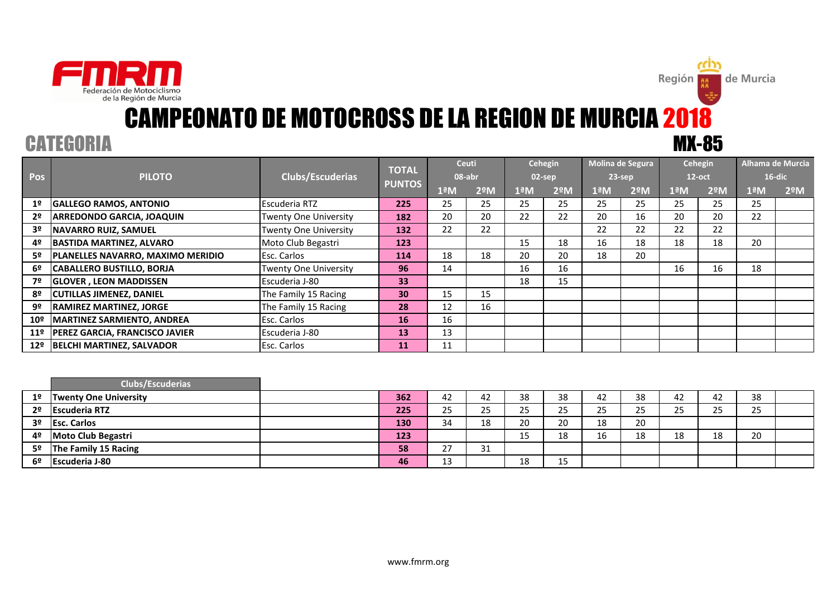

**Región** 

de Murcia

|                 |                                       |                              | <b>TOTAL</b>  |     | <b>Ceuti</b>     |     | Cehegin       |                          | Molina de Segura |               | Cehegin          |     | Alhama de Murcia |
|-----------------|---------------------------------------|------------------------------|---------------|-----|------------------|-----|---------------|--------------------------|------------------|---------------|------------------|-----|------------------|
| Pos             | <b>PILOTO</b>                         | Clubs/Escuderias             |               |     | 08-abr           |     | $02$ -sep     |                          | $23$ -sep        |               | $12$ -oct        |     | $16$ -dic        |
|                 |                                       |                              | <b>PUNTOS</b> | 1ªM | 2 <sup>°</sup> M | 1ªM | $2^{\circ}$ M | $1^{\circ}$ <sub>M</sub> | 2ºM              | $1^{\circ}$ M | 2 <sup>°</sup> M | 1ªM | $2^{\circ}$ M    |
| 1 <sup>o</sup>  | <b>GALLEGO RAMOS, ANTONIO</b>         | Escuderia RTZ                | 225           | 25  | 25               | 25  | 25            | 25                       | 25               | 25            | 25               | 25  |                  |
| 2 <sup>o</sup>  | <b>ARREDONDO GARCIA, JOAQUIN</b>      | Twenty One University        | 182           | 20  | 20               | 22  | 22            | 20                       | 16               | 20            | 20               | 22  |                  |
| 3 <sup>o</sup>  | <b>NAVARRO RUIZ, SAMUEL</b>           | <b>Twenty One University</b> | 132           | 22  | 22               |     |               | 22                       | 22               | 22            | 22               |     |                  |
| 4º              | <b>BASTIDA MARTINEZ, ALVARO</b>       | Moto Club Begastri           | 123           |     |                  | 15  | 18            | 16                       | 18               | 18            | 18               | 20  |                  |
| 5º              | PLANELLES NAVARRO, MAXIMO MERIDIO     | Esc. Carlos                  | 114           | 18  | 18               | 20  | 20            | 18                       | 20               |               |                  |     |                  |
| 6º              | <b>CABALLERO BUSTILLO, BORJA</b>      | <b>Twenty One University</b> | 96            | 14  |                  | 16  | 16            |                          |                  | 16            | 16               | 18  |                  |
| 7º              | <b>GLOVER, LEON MADDISSEN</b>         | Escuderia J-80               | 33            |     |                  | 18  | 15            |                          |                  |               |                  |     |                  |
| 8º              | <b>CUTILLAS JIMENEZ, DANIEL</b>       | The Family 15 Racing         | 30            | 15  | 15               |     |               |                          |                  |               |                  |     |                  |
| 9º              | <b>RAMIREZ MARTINEZ, JORGE</b>        | The Family 15 Racing         | 28            | 12  | 16               |     |               |                          |                  |               |                  |     |                  |
| 10 <sup>°</sup> | <b>MARTINEZ SARMIENTO, ANDREA</b>     | <b>Esc. Carlos</b>           | 16            | 16  |                  |     |               |                          |                  |               |                  |     |                  |
| 11 <sup>°</sup> | <b>PEREZ GARCIA, FRANCISCO JAVIER</b> | Escuderia J-80               | 13            | 13  |                  |     |               |                          |                  |               |                  |     |                  |
| 12º             | <b>BELCHI MARTINEZ, SALVADOR</b>      | <b>Esc. Carlos</b>           | <b>11</b>     | 11  |                  |     |               |                          |                  |               |                  |     |                  |

|                | <b>Clubs/Escuderias</b>      |     |               |    |    |    |    |    |    |                   |    |  |
|----------------|------------------------------|-----|---------------|----|----|----|----|----|----|-------------------|----|--|
| 1 <sup>o</sup> | <b>Twenty One University</b> | 362 | 42            | 42 | 38 | 38 | 42 | 38 | 42 | 42                | 38 |  |
| 2 <sup>o</sup> | <b>Escuderia RTZ</b>         | 225 | 25            | 25 | 25 | 25 | 25 | 25 | 25 | $\sim$ $-$<br>25. | 25 |  |
| 3º             | <b>Esc. Carlos</b>           | 130 | 34            | 18 | 20 | 20 | 18 | 20 |    |                   |    |  |
| 4º             | Moto Club Begastri           | 123 |               |    | 15 | 18 | 16 | 18 | 18 | 18                | 20 |  |
| 5º             | The Family 15 Racing         | 58  | $\sim$<br>ر ے | 31 |    |    |    |    |    |                   |    |  |
| 6º             | <b>Escuderia J-80</b>        | 46  | 13            |    | 18 | 15 |    |    |    |                   |    |  |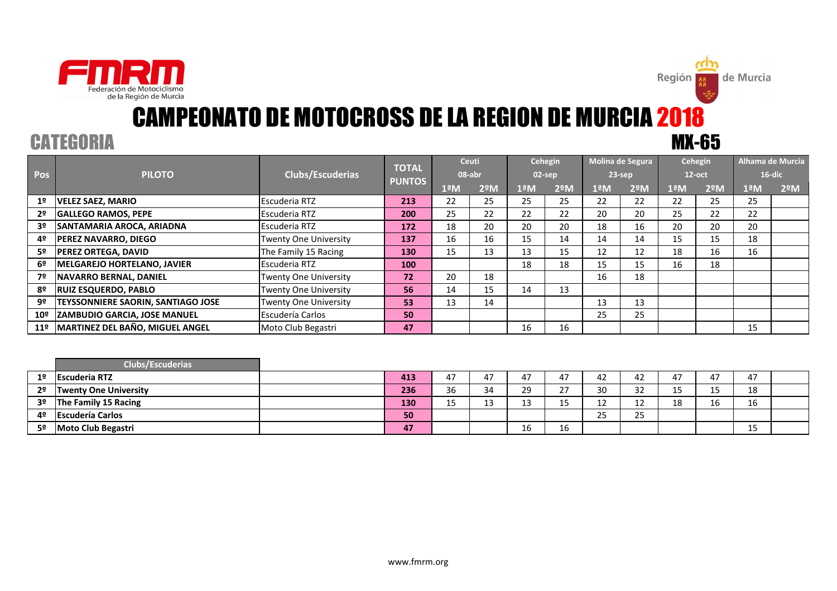

Región **|** 

de Murcia

|                 | <b>PILOTO</b>                             | <b>Clubs/Escuderias</b> | <b>TOTAL</b>  | <b>Ceuti</b><br>08-abr   |     | Cehegin<br>$02$ -sep |                  | Molina de Segura<br>$23$ -sep |               | Cehegin<br>$12$ -oct |                  | Alhama de Murcia<br>$16$ -dic |                  |
|-----------------|-------------------------------------------|-------------------------|---------------|--------------------------|-----|----------------------|------------------|-------------------------------|---------------|----------------------|------------------|-------------------------------|------------------|
| <b>Pos</b>      |                                           |                         | <b>PUNTOS</b> |                          |     |                      |                  |                               |               |                      |                  |                               |                  |
|                 |                                           |                         |               | $1^{\circ}$ <sub>M</sub> | 2ºM | 1ªM                  | 2 <sup>°</sup> M | $1^{\circ}$ <sub>M</sub>      | $2^{\circ}$ M | 1ªM                  | 2 <sup>°</sup> M | $1^{\circ}$ <sub>M</sub>      | 2 <sup>°</sup> M |
| 1 <sup>°</sup>  | <b>VELEZ SAEZ, MARIO</b>                  | Escuderia RTZ           | 213           | 22                       | 25  | 25                   | 25               | 22                            | 22            | 22                   | 25               | 25                            |                  |
| 2º              | <b>GALLEGO RAMOS, PEPE</b>                | Escuderia RTZ           | 200           | 25                       | 22  | 22                   | 22               | 20                            | 20            | 25                   | 22               | 22                            |                  |
| 3º              | SANTAMARIA AROCA, ARIADNA                 | Escuderia RTZ           | 172           | 18                       | 20  | 20                   | 20               | 18                            | 16            | 20                   | 20               | 20                            |                  |
| 4º              | <b>PEREZ NAVARRO, DIEGO</b>               | Twenty One University   | 137           | 16                       | 16  | 15                   | 14               | 14                            | 14            | 15                   | 15               | 18                            |                  |
| 5º              | <b>PEREZ ORTEGA. DAVID</b>                | The Family 15 Racing    | 130           | 15                       | 13  | 13                   | 15               | 12                            | 12            | 18                   | 16               | 16                            |                  |
| 6º              | <b>IMELGAREJO HORTELANO. JAVIER</b>       | Escuderia RTZ           | <b>100</b>    |                          |     | 18                   | 18               | 15                            | 15            | 16                   | 18               |                               |                  |
| 7º              | <b>NAVARRO BERNAL. DANIEL</b>             | Twenty One University   | 72            | 20                       | 18  |                      |                  | 16                            | 18            |                      |                  |                               |                  |
| 8º              | <b>IRUIZ ESQUERDO. PABLO</b>              | Twenty One University   | 56            | 14                       | 15  | 14                   | 13               |                               |               |                      |                  |                               |                  |
| 9º              | <b>TEYSSONNIERE SAORIN, SANTIAGO JOSE</b> | Twenty One University   | 53            | 13                       | 14  |                      |                  | 13                            | 13            |                      |                  |                               |                  |
| $10^{o}$        | <b>ZAMBUDIO GARCIA, JOSE MANUEL</b>       | <b>Escudería Carlos</b> | 50            |                          |     |                      |                  | 25                            | 25            |                      |                  |                               |                  |
| 11 <sup>°</sup> | MARTINEZ DEL BAÑO, MIGUEL ANGEL           | Moto Club Begastri      | 47            |                          |     | 16                   | 16               |                               |               |                      |                  | 15                            |                  |
|                 |                                           |                         |               |                          |     |                      |                  |                               |               |                      |                  |                               |                  |

|                | Clubs/Escuderias             |     |              |         |             |    |          |                      |         |                     |              |  |
|----------------|------------------------------|-----|--------------|---------|-------------|----|----------|----------------------|---------|---------------------|--------------|--|
| 1 <sup>°</sup> | <b>Escuderia RTZ</b>         | 413 | 47           | 47      | 47          | 17 |          | 42                   | 47      | 47                  | 47           |  |
| 2 <sup>o</sup> | <b>Twenty One University</b> | 236 | 36           | 34      | 29          | າາ | 30       | $\mathfrak{D}$<br>ےر | 4F<br>ᅩ | $\sim$ $\sim$<br>15 | 18           |  |
| 3º             | The Family 15 Racing         | 130 | $\sim$<br>∸~ | 12<br>ᅩ | $\sim$<br>ᅩ | ∸  | ∸∸       | $\sim$<br>∸∸         | 18      | 16                  | 16           |  |
| 4º             | <b>Escudería Carlos</b>      | 50  |              |         |             |    | ~-<br>رے | 25                   |         |                     |              |  |
| 5º             | Moto Club Begastri           | 47  |              |         | 16          | 16 |          |                      |         |                     | $\sim$<br>ᅩJ |  |